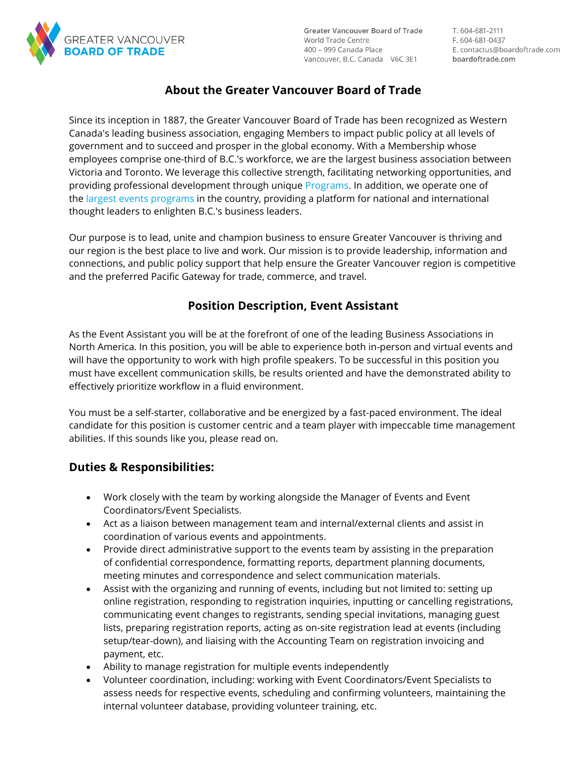

**Greater Vancouver Board of Trade** World Trade Centre 400 – 999 Canada Place Vancouver, B.C. Canada V6C 3E1 T. 604-681-2111 F. 604-681-0437 E. contactus@boardoftrade.com boardoftrade.com

# **About the Greater Vancouver Board of Trade**

Since its inception in 1887, the Greater Vancouver Board of Trade has been recognized as Western Canada's leading business association, engaging Members to impact public policy at all levels of government and to succeed and prosper in the global economy. With a Membership whose employees comprise one-third of B.C.'s workforce, we are the largest business association between Victoria and Toronto. We leverage this collective strength, facilitating networking opportunities, and providing professional development through unique [Programs.](https://www.boardoftrade.com/programs) In addition, we operate one of the [largest events programs](https://www.boardoftrade.com/events) in the country, providing a platform for national and international thought leaders to enlighten B.C.'s business leaders.

Our purpose is to lead, unite and champion business to ensure Greater Vancouver is thriving and our region is the best place to live and work. Our mission is to provide leadership, information and connections, and public policy support that help ensure the Greater Vancouver region is competitive and the preferred Pacific Gateway for trade, commerce, and travel.

### **Position Description, Event Assistant**

As the Event Assistant you will be at the forefront of one of the leading Business Associations in North America. In this position, you will be able to experience both in-person and virtual events and will have the opportunity to work with high profile speakers. To be successful in this position you must have excellent communication skills, be results oriented and have the demonstrated ability to effectively prioritize workflow in a fluid environment.

You must be a self-starter, collaborative and be energized by a fast-paced environment. The ideal candidate for this position is customer centric and a team player with impeccable time management abilities. If this sounds like you, please read on.

### **Duties & Responsibilities:**

- Work closely with the team by working alongside the Manager of Events and Event Coordinators/Event Specialists.
- Act as a liaison between management team and internal/external clients and assist in coordination of various events and appointments.
- Provide direct administrative support to the events team by assisting in the preparation of confidential correspondence, formatting reports, department planning documents, meeting minutes and correspondence and select communication materials.
- Assist with the organizing and running of events, including but not limited to: setting up online registration, responding to registration inquiries, inputting or cancelling registrations, communicating event changes to registrants, sending special invitations, managing guest lists, preparing registration reports, acting as on-site registration lead at events (including setup/tear-down), and liaising with the Accounting Team on registration invoicing and payment, etc.
- Ability to manage registration for multiple events independently
- Volunteer coordination, including: working with Event Coordinators/Event Specialists to assess needs for respective events, scheduling and confirming volunteers, maintaining the internal volunteer database, providing volunteer training, etc.